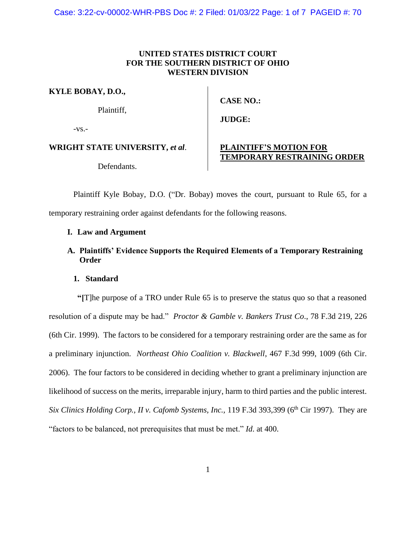Case: 3:22-cv-00002-WHR-PBS Doc #: 2 Filed: 01/03/22 Page: 1 of 7 PAGEID #: 70

### **UNITED STATES DISTRICT COURT FOR THE SOUTHERN DISTRICT OF OHIO WESTERN DIVISION**

**KYLE BOBAY, D.O.,** 

Plaintiff,

 $-VS$ .-

**WRIGHT STATE UNIVERSITY,** *et al*.

Defendants.

# **CASE NO.:**

**JUDGE:** 

### **PLAINTIFF'S MOTION FOR TEMPORARY RESTRAINING ORDER**

Plaintiff Kyle Bobay, D.O. ("Dr. Bobay) moves the court, pursuant to Rule 65, for a temporary restraining order against defendants for the following reasons.

### **I. Law and Argument**

**A. Plaintiffs' Evidence Supports the Required Elements of a Temporary Restraining Order** 

#### **1. Standard**

**"[**T]he purpose of a TRO under Rule 65 is to preserve the status quo so that a reasoned resolution of a dispute may be had." *Proctor & Gamble v. Bankers Trust Co*., 78 F.3d 219, 226 (6th Cir. 1999). The factors to be considered for a temporary restraining order are the same as for a preliminary injunction. *Northeast Ohio Coalition v. Blackwell*, 467 F.3d 999, 1009 (6th Cir. 2006). The four factors to be considered in deciding whether to grant a preliminary injunction are likelihood of success on the merits, irreparable injury, harm to third parties and the public interest. *Six Clinics Holding Corp., II v. Cafomb Systems, Inc., 119 F.3d 393,399* (6<sup>th</sup> Cir 1997). They are "factors to be balanced, not prerequisites that must be met." *Id*. at 400.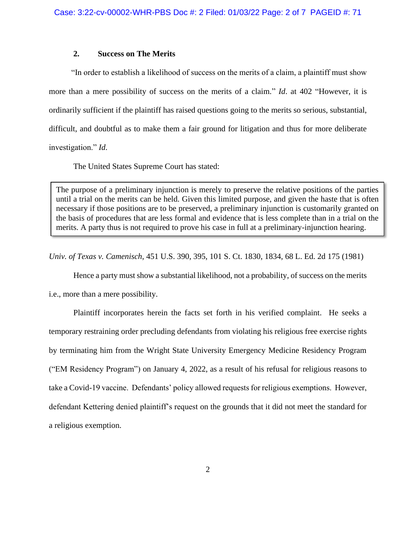### **2. Success on The Merits**

 "In order to establish a likelihood of success on the merits of a claim, a plaintiff must show more than a mere possibility of success on the merits of a claim." *Id*. at 402 "However, it is ordinarily sufficient if the plaintiff has raised questions going to the merits so serious, substantial, difficult, and doubtful as to make them a fair ground for litigation and thus for more deliberate investigation." *Id*.

The United States Supreme Court has stated:

The purpose of a preliminary injunction is merely to preserve the relative positions of the parties until a trial on the merits can be held. Given this limited purpose, and given the haste that is often necessary if those positions are to be preserved, a preliminary injunction is customarily granted on the basis of procedures that are less formal and evidence that is less complete than in a trial on the merits. A party thus is not required to prove his case in full at a preliminary-injunction hearing.

*Univ. of Texas v. Camenisch*, 451 U.S. 390, 395, 101 S. Ct. 1830, 1834, 68 L. Ed. 2d 175 (1981)

Hence a party must show a substantial likelihood, not a probability, of success on the merits i.e., more than a mere possibility.

Plaintiff incorporates herein the facts set forth in his verified complaint. He seeks a temporary restraining order precluding defendants from violating his religious free exercise rights by terminating him from the Wright State University Emergency Medicine Residency Program ("EM Residency Program") on January 4, 2022, as a result of his refusal for religious reasons to take a Covid-19 vaccine. Defendants' policy allowed requests for religious exemptions. However, defendant Kettering denied plaintiff's request on the grounds that it did not meet the standard for a religious exemption.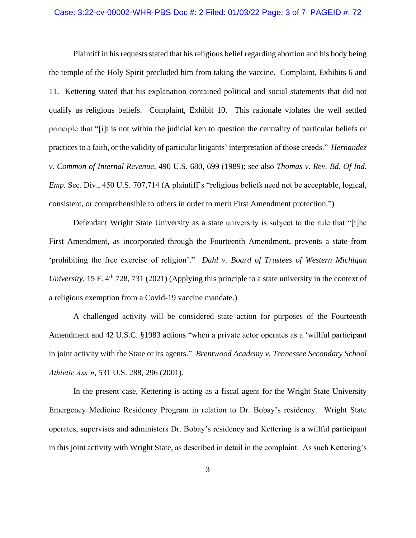#### Case: 3:22-cv-00002-WHR-PBS Doc #: 2 Filed: 01/03/22 Page: 3 of 7 PAGEID #: 72

Plaintiff in his requests stated that his religious belief regarding abortion and his body being the temple of the Holy Spirit precluded him from taking the vaccine. Complaint, Exhibits 6 and 11. Kettering stated that his explanation contained political and social statements that did not qualify as religious beliefs. Complaint, Exhibit 10. This rationale violates the well settled principle that "[i]t is not within the judicial ken to question the centrality of particular beliefs or practices to a faith, or the validity of particular litigants' interpretation of those creeds." *Hernandez v. Common of Internal Revenue*, 490 U.S. 680, 699 (1989); see also *Thomas v. Rev. Bd. Of Ind. Emp.* Sec. Div., 450 U.S. 707,714 (A plaintiff's "religious beliefs need not be acceptable, logical, consistent, or comprehensible to others in order to merit First Amendment protection.")

Defendant Wright State University as a state university is subject to the rule that "[t]he First Amendment, as incorporated through the Fourteenth Amendment, prevents a state from 'prohibiting the free exercise of religion'." *Dahl v. Board of Trustees of Western Michigan University*, 15 F. 4<sup>th</sup> 728, 731 (2021) (Applying this principle to a state university in the context of a religious exemption from a Covid-19 vaccine mandate.)

A challenged activity will be considered state action for purposes of the Fourteenth Amendment and 42 U.S.C. §1983 actions "when a private actor operates as a 'willful participant in joint activity with the State or its agents." *Brentwood Academy v. Tennessee Secondary School Athletic Ass'n*, 531 U.S. 288, 296 (2001).

In the present case, Kettering is acting as a fiscal agent for the Wright State University Emergency Medicine Residency Program in relation to Dr. Bobay's residency. Wright State operates, supervises and administers Dr. Bobay's residency and Kettering is a willful participant in this joint activity with Wright State, as described in detail in the complaint. As such Kettering's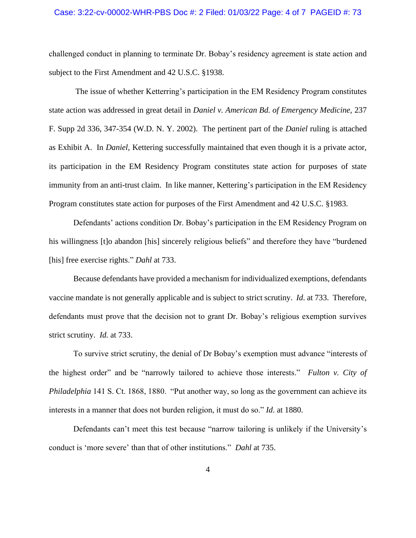#### Case: 3:22-cv-00002-WHR-PBS Doc #: 2 Filed: 01/03/22 Page: 4 of 7 PAGEID #: 73

challenged conduct in planning to terminate Dr. Bobay's residency agreement is state action and subject to the First Amendment and 42 U.S.C. §1938.

 The issue of whether Ketterring's participation in the EM Residency Program constitutes state action was addressed in great detail in *Daniel v. American Bd. of Emergency Medicine,* 237 F. Supp 2d 336, 347-354 (W.D. N. Y. 2002). The pertinent part of the *Daniel* ruling is attached as Exhibit A. In *Daniel*, Kettering successfully maintained that even though it is a private actor, its participation in the EM Residency Program constitutes state action for purposes of state immunity from an anti-trust claim. In like manner, Kettering's participation in the EM Residency Program constitutes state action for purposes of the First Amendment and 42 U.S.C. §1983.

Defendants' actions condition Dr. Bobay's participation in the EM Residency Program on his willingness [t]o abandon [his] sincerely religious beliefs" and therefore they have "burdened [his] free exercise rights." *Dahl* at 733.

Because defendants have provided a mechanism for individualized exemptions, defendants vaccine mandate is not generally applicable and is subject to strict scrutiny. *Id*. at 733. Therefore, defendants must prove that the decision not to grant Dr. Bobay's religious exemption survives strict scrutiny. *Id.* at 733.

To survive strict scrutiny, the denial of Dr Bobay's exemption must advance "interests of the highest order" and be "narrowly tailored to achieve those interests." *Fulton v. City of Philadelphia* 141 S. Ct. 1868, 1880. "Put another way, so long as the government can achieve its interests in a manner that does not burden religion, it must do so." *Id*. at 1880.

Defendants can't meet this test because "narrow tailoring is unlikely if the University's conduct is 'more severe' than that of other institutions." *Dahl* at 735.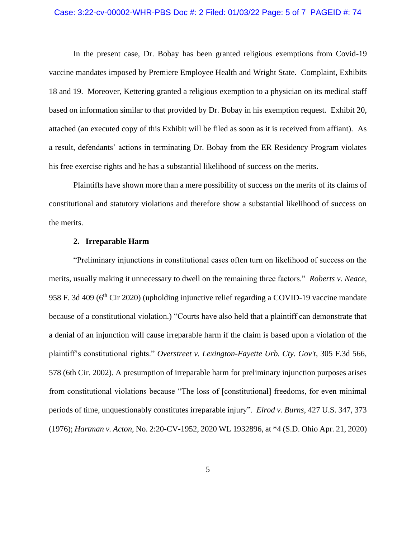#### Case: 3:22-cv-00002-WHR-PBS Doc #: 2 Filed: 01/03/22 Page: 5 of 7 PAGEID #: 74

In the present case, Dr. Bobay has been granted religious exemptions from Covid-19 vaccine mandates imposed by Premiere Employee Health and Wright State. Complaint, Exhibits 18 and 19. Moreover, Kettering granted a religious exemption to a physician on its medical staff based on information similar to that provided by Dr. Bobay in his exemption request. Exhibit 20, attached (an executed copy of this Exhibit will be filed as soon as it is received from affiant). As a result, defendants' actions in terminating Dr. Bobay from the ER Residency Program violates his free exercise rights and he has a substantial likelihood of success on the merits.

Plaintiffs have shown more than a mere possibility of success on the merits of its claims of constitutional and statutory violations and therefore show a substantial likelihood of success on the merits.

#### **2. Irreparable Harm**

"Preliminary injunctions in constitutional cases often turn on likelihood of success on the merits, usually making it unnecessary to dwell on the remaining three factors." *Roberts v. Neace*, 958 F. 3d 409 (6<sup>th</sup> Cir 2020) (upholding injunctive relief regarding a COVID-19 vaccine mandate because of a constitutional violation.) "Courts have also held that a plaintiff can demonstrate that a denial of an injunction will cause irreparable harm if the claim is based upon a violation of the plaintiff's constitutional rights." *Overstreet v. Lexington-Fayette Urb. Cty. Gov't*, 305 F.3d 566, 578 (6th Cir. 2002). A presumption of irreparable harm for preliminary injunction purposes arises from constitutional violations because "The loss of [constitutional] freedoms, for even minimal periods of time, unquestionably constitutes irreparable injury". *Elrod v. Burns*, 427 U.S. 347, 373 (1976); *Hartman v. Acton*, No. 2:20-CV-1952, 2020 WL 1932896, at \*4 (S.D. Ohio Apr. 21, 2020)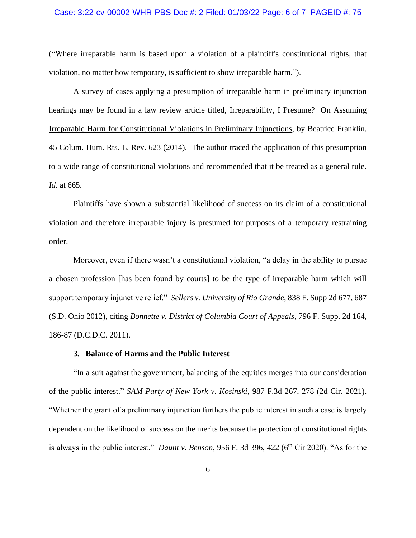#### Case: 3:22-cv-00002-WHR-PBS Doc #: 2 Filed: 01/03/22 Page: 6 of 7 PAGEID #: 75

("Where irreparable harm is based upon a violation of a plaintiff's constitutional rights, that violation, no matter how temporary, is sufficient to show irreparable harm.").

A survey of cases applying a presumption of irreparable harm in preliminary injunction hearings may be found in a law review article titled, Irreparability, I Presume? On Assuming Irreparable Harm for Constitutional Violations in Preliminary Injunctions, by Beatrice Franklin. 45 Colum. Hum. Rts. L. Rev. 623 (2014). The author traced the application of this presumption to a wide range of constitutional violations and recommended that it be treated as a general rule. *Id.* at 665.

Plaintiffs have shown a substantial likelihood of success on its claim of a constitutional violation and therefore irreparable injury is presumed for purposes of a temporary restraining order.

Moreover, even if there wasn't a constitutional violation, "a delay in the ability to pursue a chosen profession [has been found by courts] to be the type of irreparable harm which will support temporary injunctive relief." *Sellers v. University of Rio Grande*, 838 F. Supp 2d 677, 687 (S.D. Ohio 2012), citing *Bonnette v. District of Columbia Court of Appeals*, 796 F. Supp. 2d 164, 186-87 (D.C.D.C. 2011).

#### **3. Balance of Harms and the Public Interest**

"In a suit against the government, balancing of the equities merges into our consideration of the public interest." *SAM Party of New York v. Kosinski*, 987 F.3d 267, 278 (2d Cir. 2021). "Whether the grant of a preliminary injunction furthers the public interest in such a case is largely dependent on the likelihood of success on the merits because the protection of constitutional rights is always in the public interest." *Daunt v. Benson*, 956 F. 3d 396, 422 (6<sup>th</sup> Cir 2020). "As for the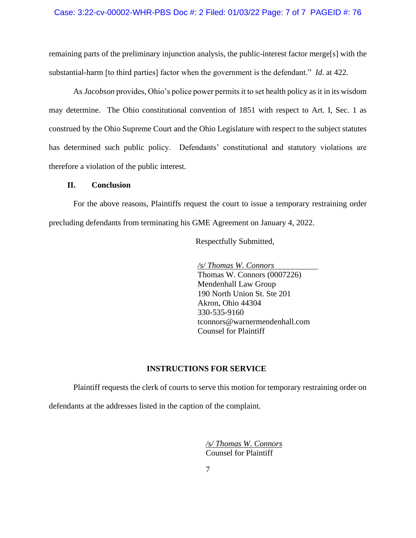#### Case: 3:22-cv-00002-WHR-PBS Doc #: 2 Filed: 01/03/22 Page: 7 of 7 PAGEID #: 76

remaining parts of the preliminary injunction analysis, the public-interest factor merge[s] with the substantial-harm [to third parties] factor when the government is the defendant." *Id*. at 422.

As *Jacobson* provides, Ohio's police power permits it to set health policy as it in its wisdom may determine. The Ohio constitutional convention of 1851 with respect to Art. I, Sec. 1 as construed by the Ohio Supreme Court and the Ohio Legislature with respect to the subject statutes has determined such public policy. Defendants' constitutional and statutory violations are therefore a violation of the public interest.

#### **II. Conclusion**

For the above reasons, Plaintiffs request the court to issue a temporary restraining order precluding defendants from terminating his GME Agreement on January 4, 2022.

Respectfully Submitted,

*/s/ Thomas W. Connors* Thomas W. Connors (0007226) Mendenhall Law Group 190 North Union St. Ste 201 Akron, Ohio 44304 330-535-9160 tconnors@warnermendenhall.com Counsel for Plaintiff

#### **INSTRUCTIONS FOR SERVICE**

Plaintiff requests the clerk of courts to serve this motion for temporary restraining order on

defendants at the addresses listed in the caption of the complaint.

 */s/ Thomas W. Connors* Counsel for Plaintiff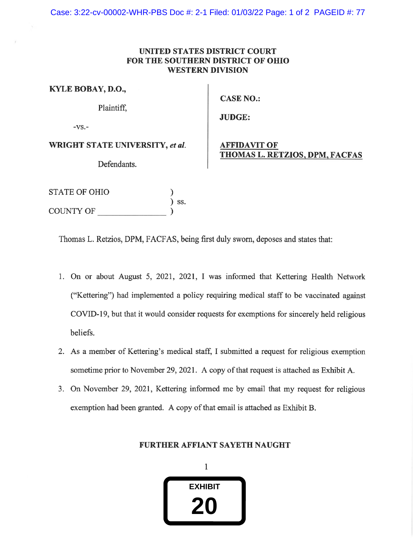Case: 3:22-cv-00002-WHR-PBS Doc #: 2-1 Filed: 01/03/22 Page: 1 of 2 PAGEID #: 77

### UNITED STATES DISTRICT COURT **FOR THE SOUTHERN DISTRICT OF OHIO WESTERN DIVISION**

| KYLE BOBAY, D.O.,               | <b>CASE</b>          |
|---------------------------------|----------------------|
| Plaintiff.                      | <b>JUDG</b>          |
| $-VS$ .                         |                      |
| WRIGHT STATE UNIVERSITY, et al. | AFFID<br><b>THOM</b> |
| Defendants.                     |                      |
|                                 |                      |

# $NO.$ :

E:

# **AVIT OF** <u>IAS L. RETZIOS, DPM, FACFAS</u>

| STATE OF OHIO    |       |
|------------------|-------|
|                  | ) SS. |
| <b>COUNTY OF</b> |       |

Thomas L. Retzios, DPM, FACFAS, being first duly sworn, deposes and states that:

- 1. On or about August 5, 2021, 2021, I was informed that Kettering Health Network ("Kettering") had implemented a policy requiring medical staff to be vaccinated against COVID-19, but that it would consider requests for exemptions for sincerely held religious beliefs.
- 2. As a member of Kettering's medical staff, I submitted a request for religious exemption sometime prior to November 29, 2021. A copy of that request is attached as Exhibit A.
- 3. On November 29, 2021, Kettering informed me by email that my request for religious exemption had been granted. A copy of that email is attached as Exhibit B.

# FURTHER AFFIANT SAYETH NAUGHT

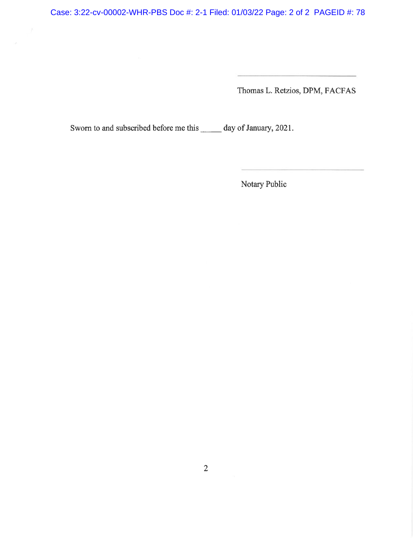Case: 3:22-cv-00002-WHR-PBS Doc #: 2-1 Filed: 01/03/22 Page: 2 of 2 PAGEID #: 78

Thomas L. Retzios, DPM, FACFAS

<u> 1983 - Barbara Bernard Bernard B</u>

<u> Territoria de la construcción de la construcción de la construcción de la construcción de la construcción de la</u>

Sworn to and subscribed before me this \_\_\_\_\_\_ day of January, 2021.

Notary Public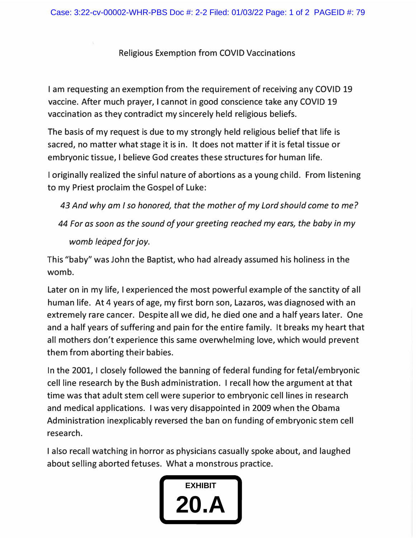# Religious Exemption from COVID Vaccinations

I am requesting an exemption from the requirement of receiving any COVID 19 vaccine. After much prayer, I cannot in good conscience take any COVID 19 vaccination as they contradict my sincerely held religious beliefs.

The basis of my request is due to my strongly held religious belief that life is sacred, no matter what stage it is in. It does not matter if it is fetal tissue or embryonic tissue, I believe God creates these structures for human life.

I originally realized the sinful nature of abortions as a young child. From listening to my Priest proclaim the Gospel of Luke:

43 And why am I so honored, that the mother of my Lord should come to me?

*44 For as soon as the sound of your greeting reached my ears� the baby in my womb leaped for joy.* 

This "baby" was John the Baptist, who had already assumed his holiness in the womb.

Later on in my life, I experienced the most powerful example of the sanctity of all human life. At 4 years of age, my first born son, Lazaros, was diagnosed with an extremely rare cancer. Despite all we did, he died one and a half years later. One and a half years of suffering and pain for the entire family. It breaks my heart that all mothers don't experience this same overwhelming love, which would prevent them from aborting their babies.

In the 2001, I closely followed the banning of federal funding for fetal/embryonic cell line research by the Bush administration. I recall how the argument at that time was that adult stem cell were superior to embryonic cell lines in research and medical applications. I was very disappointed in 2009 when the Obama Administration inexplicably reversed the ban on funding of embryonic stem cell research.

I also recall watching in horror as physicians casually spoke about, and laughed about selling aborted fetuses. What a monstrous practice.

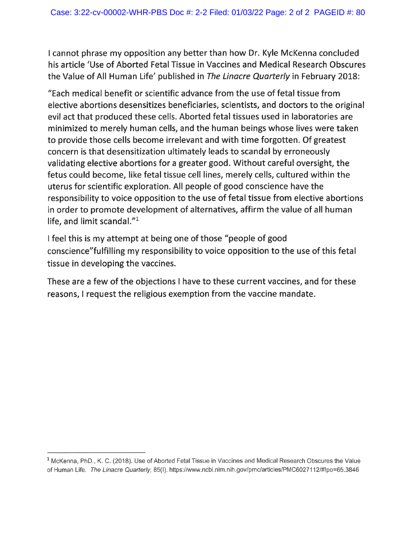I cannot phrase my opposition any better than how Dr. Kyle McKenna concluded his article 'Use of Aborted Fetal Tissue in Vaccines and Medical Research Obscures the Value of All Human Life' published in The Linacre Quarterly in February 2018:

"Each medical benefit or scientific advance from the use of fetal tissue from elective abortions desensitizes beneficiaries, scientists, and doctors to the original evil act that produced these cells. Aborted fetal tissues used in laboratories are minimized to merely human cells, and the human beings whose lives were taken to provide those cells become irrelevant and with time forgotten. Of greatest concern is that desensitization ultimately leads to scandal by erroneously validating elective abortions for a greater good. Without careful oversight, the fetus could become, like fetal tissue cell lines, merely cells, cultured within the uterus for scientific exploration. All people of good conscience have the responsibility to voice opposition to the use of fetal tissue from elective abortions in order to promote development of alternatives, affirm the value of all human life, and limit scandal."<sup>1</sup>

I feel this is my attempt at being one of those "people of good conscience" fulfilling my responsibility to voice opposition to the use of this fetal tissue in developing the vaccines.

These are a few of the objections I have to these current vaccines, and for these reasons, I request the religious exemption from the vaccine mandate.

 $1$  McKenna, PhD., K, C, (2018). Use of Aborted Fetal Tissue in Vaccines and Medical Research Obscures the Value of Human Life. The Linacre Quarterly, 85(I). https://www.ncbi.nlm.nih.gov/pmc/articles/PMC6027112/#!po=65.3846